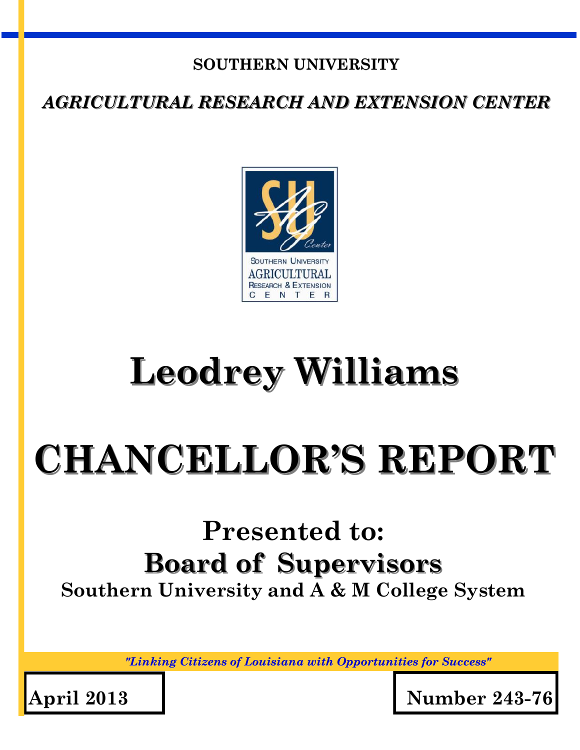## **SOUTHERN UNIVERSITY**

*AGRICULTURAL RESEARCH AND EXTENSION CENTER*



## **Leodrey Williams**

# **CHANCELLOR'S REPORT**

## **Presented to: Board of Supervisors Southern University and A & M College System**

*"Linking Citizens of Louisiana with Opportunities for Success"*

**April 2013 Number 243-76**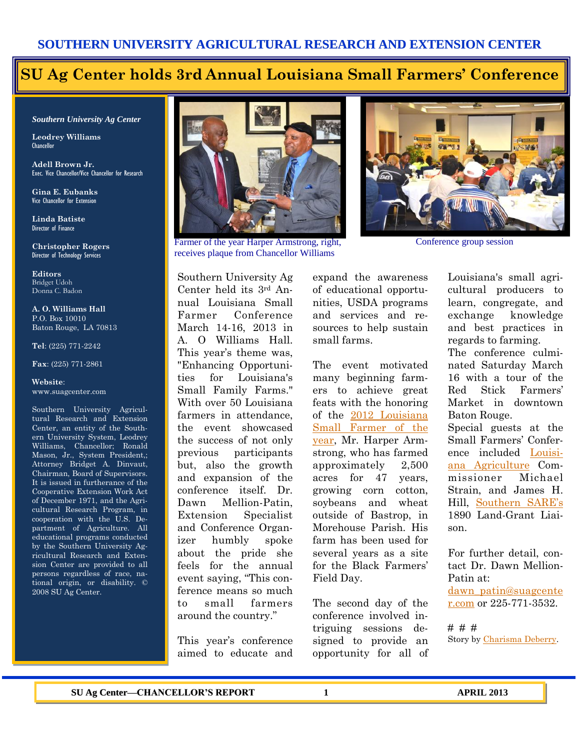## **SU Ag Center holds 3rd Annual Louisiana Small Farmers' Conference**

*Southern University Ag Center*

**Leodrey Williams**  Chancellor

**Adell Brown Jr.**  Exec. Vice Chancellor/Vice Chancellor for Research

**Gina E. Eubanks** Vice Chancellor for Extension

**Linda Batiste** Director of Finance

**Christopher Rogers** Director of Technology Services

**Editors** Bridget Udoh Donna C. Badon

**A. O. Williams Hall** P.O. Box 10010 Baton Rouge, LA 70813

**Tel**: (225) 771-2242

**Fax**: (225) 771-2861

#### **Website**: www.suagcenter.com

Southern University Agricultural Research and Extension Center, an entity of the Southern University System, Leodrey Williams, Chancellor; Ronald Mason, Jr., System President,; Attorney Bridget A. Dinvaut, Chairman, Board of Supervisors. It is issued in furtherance of the Cooperative Extension Work Act of December 1971, and the Agricultural Research Program, in cooperation with the U.S. Department of Agriculture. All educational programs conducted by the Southern University Agricultural Research and Extension Center are provided to all persons regardless of race, national origin, or disability. © 2008 SU Ag Center.



Farmer of the year Harper Armstrong, right, receives plaque from Chancellor Williams

Southern University Ag Center held its 3rd Annual Louisiana Small Farmer Conference March 14-16, 2013 in A. O Williams Hall. This year's theme was, "Enhancing Opportunities for Louisiana's Small Family Farms." With over 50 Louisiana farmers in attendance, the event showcased the success of not only previous participants but, also the growth and expansion of the conference itself. Dr. Dawn Mellion-Patin, Extension Specialist and Conference Organizer humbly spoke about the pride she feels for the annual event saying, "This conference means so much to small farmers around the country."

This year's conference aimed to educate and

expand the awareness of educational opportunities, USDA programs and services and resources to help sustain small farms.

The event motivated many beginning farmers to achieve great feats with the honoring of the [2012 Louisiana](http://www.thetowntalk.com/viewart/20130303/BUSINESS/130303004/Louisiana-names-Harper-Armstrong-Farmer-Year-2012)  [Small Farmer of the](http://www.thetowntalk.com/viewart/20130303/BUSINESS/130303004/Louisiana-names-Harper-Armstrong-Farmer-Year-2012)  [year,](http://www.thetowntalk.com/viewart/20130303/BUSINESS/130303004/Louisiana-names-Harper-Armstrong-Farmer-Year-2012) Mr. Harper Armstrong, who has farmed approximately 2,500 acres for 47 years, growing corn cotton, soybeans and wheat outside of Bastrop, in Morehouse Parish. His farm has been used for several years as a site for the Black Farmers' Field Day.

The second day of the conference involved intriguing sessions designed to provide an opportunity for all of



Conference group session

Louisiana's small agricultural producers to learn, congregate, and exchange knowledge and best practices in regards to farming.

The conference culminated Saturday March 16 with a tour of the Red Stick Farmers' Market in downtown Baton Rouge.

Special guests at the Small Farmers' Conference included [Louisi](http://www.ldaf.state.la.us/portal/)[ana Agriculture](http://www.ldaf.state.la.us/portal/) Commissioner Michael Strain, and James H. Hill, [Southern SARE's](http://www.southernsare.org/) 1890 Land-Grant Liaison.

For further detail, contact Dr. Dawn Mellion-Patin at: [dawn\\_patin@suagcente](mailto:dawn_patin@suagcenter.com) [r.com](mailto:dawn_patin@suagcenter.com) or 225-771-3532.

# # # Story by [Charisma Deberry.](mailto:charisma_deberry@suagcenter.com)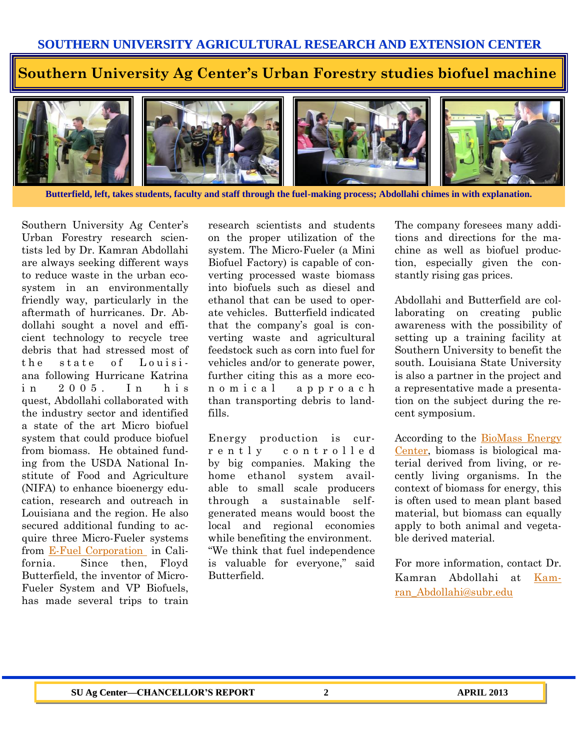### **Southern University Ag Center's Urban Forestry studies biofuel machine**



**Butterfield, left, takes students, faculty and staff through the fuel-making process; Abdollahi chimes in with explanation.**

Southern University Ag Center's Urban Forestry research scientists led by Dr. Kamran Abdollahi are always seeking different ways to reduce waste in the urban ecosystem in an environmentally friendly way, particularly in the aftermath of hurricanes. Dr. Abdollahi sought a novel and efficient technology to recycle tree debris that had stressed most of the state of Louisiana following Hurricane Katrina in 2005 In his quest, Abdollahi collaborated with the industry sector and identified a state of the art Micro biofuel system that could produce biofuel from biomass. He obtained funding from the USDA National Institute of Food and Agriculture (NIFA) to enhance bioenergy education, research and outreach in Louisiana and the region. He also secured additional funding to acquire three Micro-Fueler systems from [E-Fuel Corporation i](http://www.microfueler.com/default.aspx)n California. Since then, Floyd Butterfield, the inventor of Micro-Fueler System and VP Biofuels, has made several trips to train

research scientists and students on the proper utilization of the system. The Micro-Fueler (a Mini Biofuel Factory) is capable of converting processed waste biomass into biofuels such as diesel and ethanol that can be used to operate vehicles. Butterfield indicated that the company's goal is converting waste and agricultural feedstock such as corn into fuel for vehicles and/or to generate power, further citing this as a more econ o m i c a l a p p r o a c h than transporting debris to landfills.

Energy production is curr e n t l y c o n t r o l l e d by big companies. Making the home ethanol system available to small scale producers through a sustainable selfgenerated means would boost the local and regional economies while benefiting the environment. "We think that fuel independence is valuable for everyone," said Butterfield.

The company foresees many additions and directions for the machine as well as biofuel production, especially given the constantly rising gas prices.

Abdollahi and Butterfield are collaborating on creating public awareness with the possibility of setting up a training facility at Southern University to benefit the south. Louisiana State University is also a partner in the project and a representative made a presentation on the subject during the recent symposium.

According to the [BioMass](http://www.biomassenergycentre.org.uk/portal/page?_pageid=76,15049&_dad=portal) Energy [Center,](http://www.biomassenergycentre.org.uk/portal/page?_pageid=76,15049&_dad=portal) biomass is biological material derived from living, or recently living organisms. In the context of biomass for energy, this is often used to mean plant based material, but biomass can equally apply to both animal and vegetable derived material.

For more information, contact Dr. Kamran Abdollahi at [Kam](mailto:Kamran_Abdollahi@subr.edu)[ran\\_Abdollahi@subr.edu](mailto:Kamran_Abdollahi@subr.edu)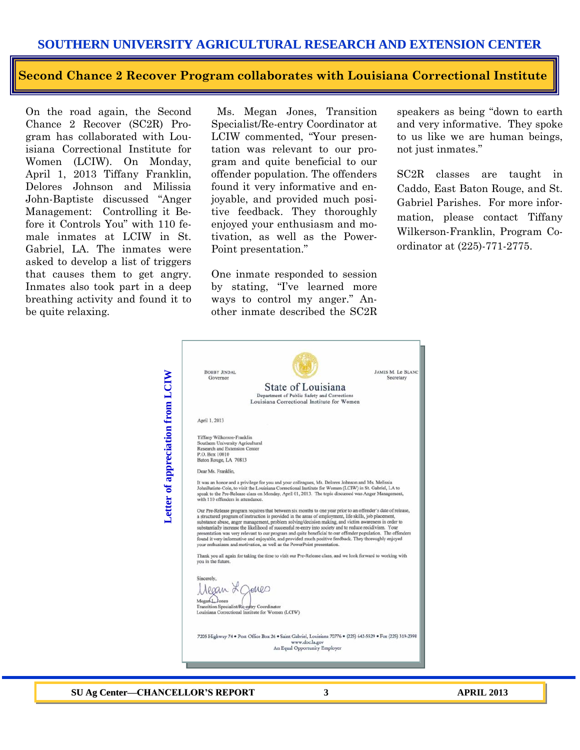#### **SOUTHERN UNIVERSITY AGRICULTURAL RESEARCH AND EXTENSION CENTER**

#### **Second Chance 2 Recover Program collaborates with Louisiana Correctional Institute**

On the road again, the Second Chance 2 Recover (SC2R) Program has collaborated with Louisiana Correctional Institute for Women (LCIW). On Monday, April 1, 2013 Tiffany Franklin, Delores Johnson and Milissia John-Baptiste discussed "Anger Management: Controlling it Before it Controls You" with 110 female inmates at LCIW in St. Gabriel, LA. The inmates were asked to develop a list of triggers that causes them to get angry. Inmates also took part in a deep breathing activity and found it to be quite relaxing.

 Ms. Megan Jones, Transition Specialist/Re-entry Coordinator at LCIW commented, "Your presentation was relevant to our program and quite beneficial to our offender population. The offenders found it very informative and enjoyable, and provided much positive feedback. They thoroughly enjoyed your enthusiasm and motivation, as well as the Power-Point presentation."

One inmate responded to session by stating, "I've learned more ways to control my anger." Another inmate described the SC2R speakers as being "down to earth and very informative. They spoke to us like we are human beings, not just inmates."

SC2R classes are taught in Caddo, East Baton Rouge, and St. Gabriel Parishes. For more information, please contact Tiffany Wilkerson-Franklin, Program Coordinator at (225)-771-2775.



**SU Ag Center—CHANCELLOR'S REPORT 3 APRIL 2013**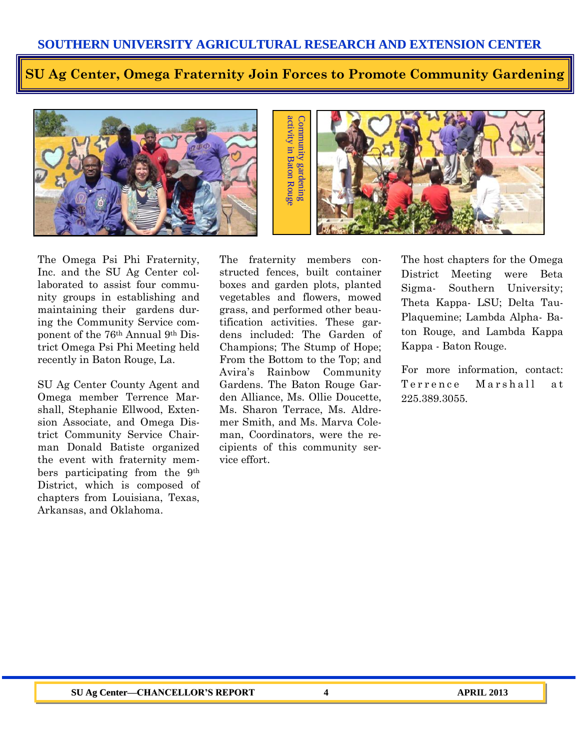**SU Ag Center, Omega Fraternity Join Forces to Promote Community Gardening**





The Omega Psi Phi Fraternity, Inc. and the SU Ag Center collaborated to assist four community groups in establishing and maintaining their gardens during the Community Service component of the 76th Annual 9th District Omega Psi Phi Meeting held recently in Baton Rouge, La.

SU Ag Center County Agent and Omega member Terrence Marshall, Stephanie Ellwood, Extension Associate, and Omega District Community Service Chairman Donald Batiste organized the event with fraternity members participating from the 9th District, which is composed of chapters from Louisiana, Texas, Arkansas, and Oklahoma.

The fraternity members constructed fences, built container boxes and garden plots, planted vegetables and flowers, mowed grass, and performed other beautification activities. These gardens included: The Garden of Champions; The Stump of Hope; From the Bottom to the Top; and Avira's Rainbow Community Gardens. The Baton Rouge Garden Alliance, Ms. Ollie Doucette, Ms. Sharon Terrace, Ms. Aldremer Smith, and Ms. Marva Coleman, Coordinators, were the recipients of this community service effort.

The host chapters for the Omega District Meeting were Beta Sigma- Southern University; Theta Kappa- LSU; Delta Tau-Plaquemine; Lambda Alpha- Baton Rouge, and Lambda Kappa Kappa - Baton Rouge.

For more information, contact: Terrence Marshall at 225.389.3055.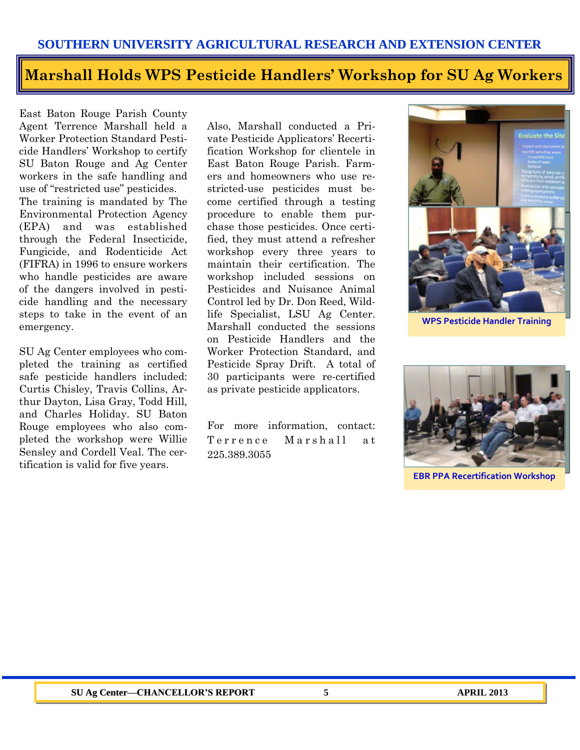#### **SOUTHERN UNIVERSITY AGRICULTURAL RESEARCH AND EXTENSION CENTER**

## **Marshall Holds WPS Pesticide Handlers' Workshop for SU Ag Workers**

East Baton Rouge Parish County Agent Terrence Marshall held a Worker Protection Standard Pesticide Handlers' Workshop to certify SU Baton Rouge and Ag Center workers in the safe handling and use of "restricted use" pesticides. The training is mandated by The Environmental Protection Agency (EPA) and was established through the Federal Insecticide, Fungicide, and Rodenticide Act (FIFRA) in 1996 to ensure workers who handle pesticides are aware of the dangers involved in pesticide handling and the necessary steps to take in the event of an emergency.

SU Ag Center employees who completed the training as certified safe pesticide handlers included: Curtis Chisley, Travis Collins, Arthur Dayton, Lisa Gray, Todd Hill, and Charles Holiday. SU Baton Rouge employees who also completed the workshop were Willie Sensley and Cordell Veal. The certification is valid for five years.

Also, Marshall conducted a Private Pesticide Applicators' Recertification Workshop for clientele in East Baton Rouge Parish. Farmers and homeowners who use restricted-use pesticides must become certified through a testing procedure to enable them purchase those pesticides. Once certified, they must attend a refresher workshop every three years to maintain their certification. The workshop included sessions on Pesticides and Nuisance Animal Control led by Dr. Don Reed, Wildlife Specialist, LSU Ag Center. Marshall conducted the sessions on Pesticide Handlers and the Worker Protection Standard, and Pesticide Spray Drift. A total of 30 participants were re-certified as private pesticide applicators.

For more information, contact: Terrence Marshall at 225.389.3055



**WPS Pesticide Handler Training**



**EBR PPA Recertification Workshop**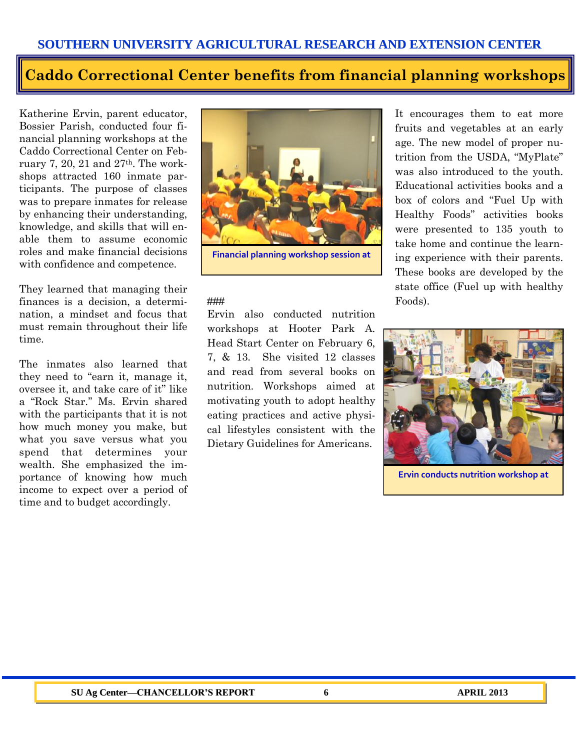## **Caddo Correctional Center benefits from financial planning workshops**

Katherine Ervin, parent educator, Bossier Parish, conducted four financial planning workshops at the Caddo Correctional Center on February 7, 20, 21 and 27th. The workshops attracted 160 inmate participants. The purpose of classes was to prepare inmates for release by enhancing their understanding, knowledge, and skills that will enable them to assume economic roles and make financial decisions with confidence and competence.

They learned that managing their finances is a decision, a determination, a mindset and focus that must remain throughout their life time.

The inmates also learned that they need to "earn it, manage it, oversee it, and take care of it" like a "Rock Star.'' Ms. Ervin shared with the participants that it is not how much money you make, but what you save versus what you spend that determines your wealth. She emphasized the importance of knowing how much income to expect over a period of time and to budget accordingly.



**Financial planning workshop session at** 

#### ###

Ervin also conducted nutrition workshops at Hooter Park A. Head Start Center on February 6, 7, & 13. She visited 12 classes and read from several books on nutrition. Workshops aimed at motivating youth to adopt healthy eating practices and active physical lifestyles consistent with the Dietary Guidelines for Americans.

It encourages them to eat more fruits and vegetables at an early age. The new model of proper nutrition from the USDA, "MyPlate" was also introduced to the youth. Educational activities books and a box of colors and "Fuel Up with Healthy Foods" activities books were presented to 135 youth to take home and continue the learning experience with their parents. These books are developed by the state office (Fuel up with healthy Foods).



**Ervin conducts nutrition workshop at**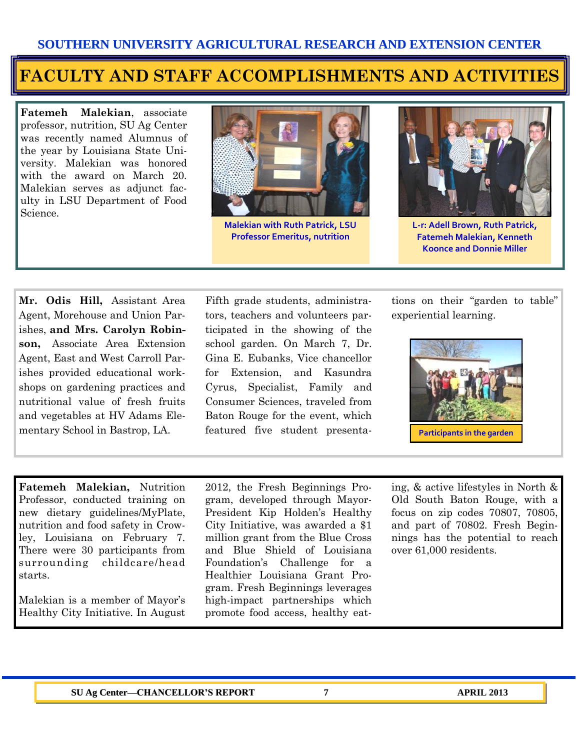## **FACULTY AND STAFF ACCOMPLISHMENTS AND ACTIVITIES**

**Fatemeh Malekian**, associate professor, nutrition, SU Ag Center was recently named Alumnus of the year by Louisiana State University. Malekian was honored with the award on March 20. Malekian serves as adjunct faculty in LSU Department of Food Science.



**Malekian with Ruth Patrick, LSU Professor Emeritus, nutrition**



**L-r: Adell Brown, Ruth Patrick, Fatemeh Malekian, Kenneth Koonce and Donnie Miller**

**Mr. Odis Hill,** Assistant Area Agent, Morehouse and Union Parishes, **and Mrs. Carolyn Robinson,** Associate Area Extension Agent, East and West Carroll Parishes provided educational workshops on gardening practices and nutritional value of fresh fruits and vegetables at HV Adams Elementary School in Bastrop, LA.

Fifth grade students, administrators, teachers and volunteers participated in the showing of the school garden. On March 7, Dr. Gina E. Eubanks, Vice chancellor for Extension, and Kasundra Cyrus, Specialist, Family and Consumer Sciences, traveled from Baton Rouge for the event, which featured five student presentations on their "garden to table" experiential learning.



**Fatemeh Malekian,** Nutrition Professor, conducted training on new dietary guidelines/MyPlate, nutrition and food safety in Crowley, Louisiana on February 7. There were 30 participants from surrounding childcare/head starts.

Malekian is a member of Mayor's Healthy City Initiative. In August 2012, the Fresh Beginnings Program, developed through Mayor-President Kip Holden's Healthy City Initiative, was awarded a \$1 million grant from the Blue Cross and Blue Shield of Louisiana Foundation's Challenge for a Healthier Louisiana Grant Program. Fresh Beginnings leverages high-impact partnerships which promote food access, healthy eating, & active lifestyles in North & Old South Baton Rouge, with a focus on zip codes 70807, 70805, and part of 70802. Fresh Beginnings has the potential to reach over 61,000 residents.